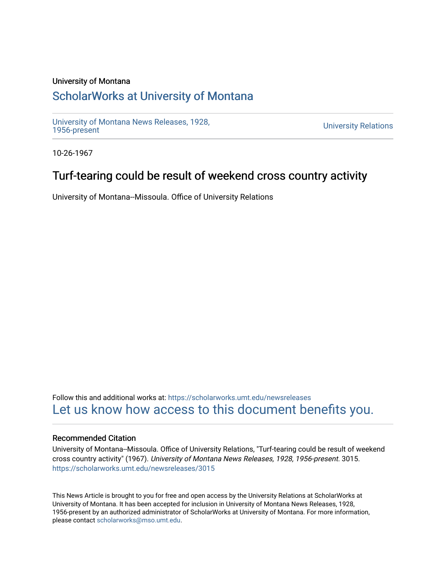### University of Montana

## [ScholarWorks at University of Montana](https://scholarworks.umt.edu/)

[University of Montana News Releases, 1928,](https://scholarworks.umt.edu/newsreleases) 

**University Relations** 

10-26-1967

## Turf-tearing could be result of weekend cross country activity

University of Montana--Missoula. Office of University Relations

Follow this and additional works at: [https://scholarworks.umt.edu/newsreleases](https://scholarworks.umt.edu/newsreleases?utm_source=scholarworks.umt.edu%2Fnewsreleases%2F3015&utm_medium=PDF&utm_campaign=PDFCoverPages) [Let us know how access to this document benefits you.](https://goo.gl/forms/s2rGfXOLzz71qgsB2) 

#### Recommended Citation

University of Montana--Missoula. Office of University Relations, "Turf-tearing could be result of weekend cross country activity" (1967). University of Montana News Releases, 1928, 1956-present. 3015. [https://scholarworks.umt.edu/newsreleases/3015](https://scholarworks.umt.edu/newsreleases/3015?utm_source=scholarworks.umt.edu%2Fnewsreleases%2F3015&utm_medium=PDF&utm_campaign=PDFCoverPages) 

This News Article is brought to you for free and open access by the University Relations at ScholarWorks at University of Montana. It has been accepted for inclusion in University of Montana News Releases, 1928, 1956-present by an authorized administrator of ScholarWorks at University of Montana. For more information, please contact [scholarworks@mso.umt.edu.](mailto:scholarworks@mso.umt.edu)